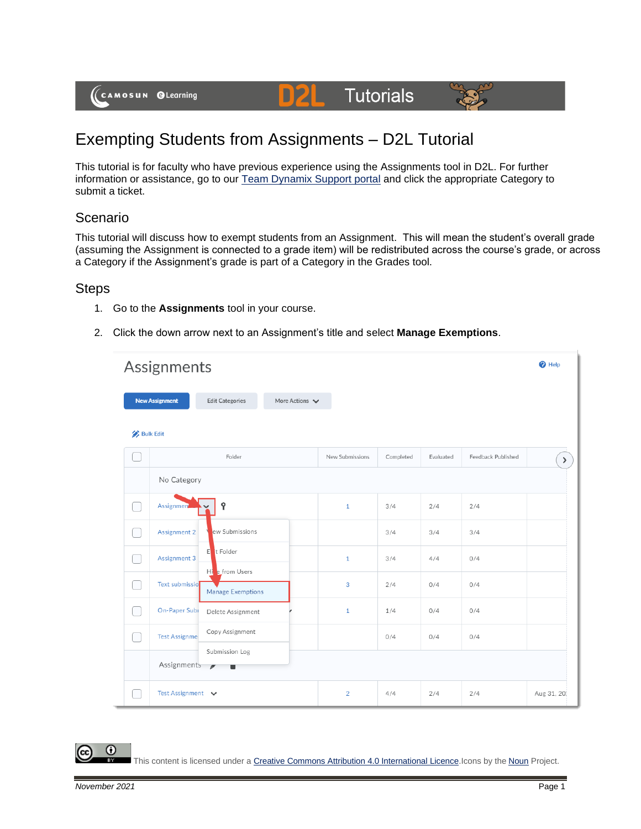

# **Tutorials**



# Exempting Students from Assignments – D2L Tutorial

DZ

This tutorial is for faculty who have previous experience using the Assignments tool in D2L. For further information or assistance, go to our [Team Dynamix Support portal](https://camosun.teamdynamix.com/TDClient/67/Portal/Requests/ServiceCatalog?CategoryID=523) and click the appropriate Category to submit a ticket.

## Scenario

This tutorial will discuss how to exempt students from an Assignment. This will mean the student's overall grade (assuming the Assignment is connected to a grade item) will be redistributed across the course's grade, or across a Category if the Assignment's grade is part of a Category in the Grades tool.

### **Steps**

- 1. Go to the **Assignments** tool in your course.
- 2. Click the down arrow next to an Assignment's title and select **Manage Exemptions**.

| Assignments      |                                                                                       |                 |           |           |                    |            |  |
|------------------|---------------------------------------------------------------------------------------|-----------------|-----------|-----------|--------------------|------------|--|
|                  | More Actions $\blacktriangleright$<br><b>New Assignment</b><br><b>Edit Categories</b> |                 |           |           |                    |            |  |
| <b>Bulk Edit</b> |                                                                                       |                 |           |           |                    |            |  |
|                  | Folder                                                                                | New Submissions | Completed | Evaluated | Feedback Published | $\,$       |  |
|                  | No Category                                                                           |                 |           |           |                    |            |  |
|                  | የ<br><b>Assignmen</b>                                                                 | $\mathbf{1}$    | 3/4       | 2/4       | 2/4                |            |  |
|                  | ew Submissions<br>Assignment 2                                                        |                 | 3/4       | 3/4       | 3/4                |            |  |
|                  | t Folder<br>E<br>Assignment 3                                                         | $\mathbf{1}$    | 3/4       | 4/4       | 0/4                |            |  |
|                  | Hi e from Users<br>Text submissio<br>Manage Exemptions                                | 3               | 2/4       | 0/4       | 0/4                |            |  |
|                  | On-Paper Subi<br>Delete Assignment                                                    | $\mathbf{1}$    | 1/4       | 0/4       | 0/4                |            |  |
|                  | Copy Assignment<br><b>Test Assignme</b>                                               |                 | 0/4       | 0/4       | 0/4                |            |  |
|                  | Submission Log<br>Assignments<br>$\mathscr{I}$                                        |                 |           |           |                    |            |  |
|                  | Test Assignment v                                                                     | $\overline{2}$  | 4/4       | 2/4       | 2/4                | Aug 31, 20 |  |

0

This content is licensed under [a Creative Commons Attribution 4.0 International Licence.I](https://creativecommons.org/licenses/by/4.0/)cons by the [Noun](https://creativecommons.org/website-icons/) Project.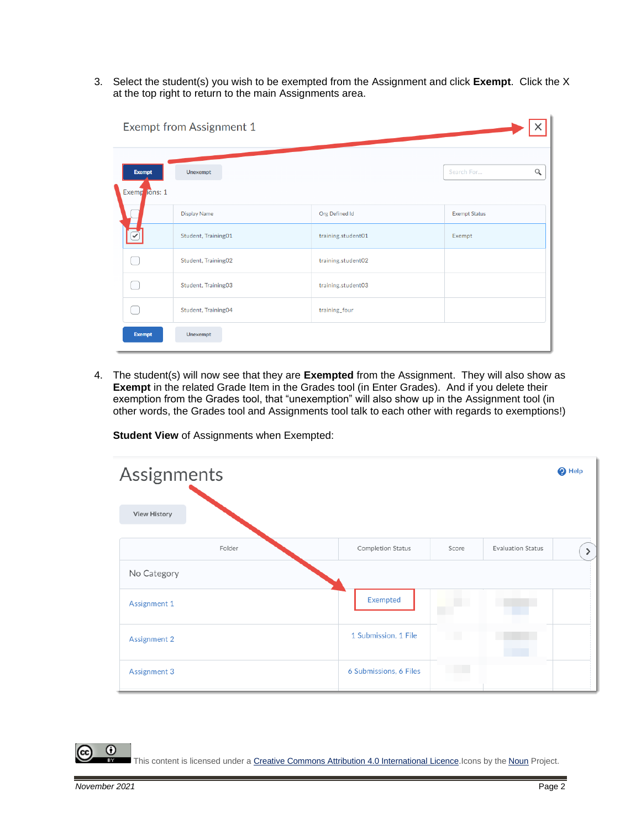3. Select the student(s) you wish to be exempted from the Assignment and click **Exempt**. Click the X at the top right to return to the main Assignments area.

| Exempt from Assignment 1 |                                |                     |                    |                        |  |  |  |
|--------------------------|--------------------------------|---------------------|--------------------|------------------------|--|--|--|
|                          | <b>Exempt</b><br>Exemp ions: 1 | Unexempt            |                    | $\alpha$<br>Search For |  |  |  |
|                          |                                | <b>Display Name</b> | Org Defined Id     | <b>Exempt Status</b>   |  |  |  |
|                          |                                | Student, Training01 | training.student01 | Exempt                 |  |  |  |
|                          |                                | Student, Training02 | training.student02 |                        |  |  |  |
|                          |                                | Student, Training03 | training.student03 |                        |  |  |  |
|                          |                                | Student, Training04 | training_four      |                        |  |  |  |
|                          | <b>Exempt</b>                  | Unexempt            |                    |                        |  |  |  |

4. The student(s) will now see that they are **Exempted** from the Assignment. They will also show as **Exempt** in the related Grade Item in the Grades tool (in Enter Grades). And if you delete their exemption from the Grades tool, that "unexemption" will also show up in the Assignment tool (in other words, the Grades tool and Assignments tool talk to each other with regards to exemptions!)

| Assignments         |                        |       |                          | $\bigcirc$ Help |
|---------------------|------------------------|-------|--------------------------|-----------------|
| <b>View History</b> |                        |       |                          |                 |
| Folder              | Completion Status      | Score | <b>Evaluation Status</b> | ≻               |
| No Category         |                        |       |                          |                 |
| Assignment 1        | Exempted               |       |                          |                 |
| Assignment 2        | 1 Submission, 1 File   |       |                          |                 |
| Assignment 3        | 6 Submissions, 6 Files |       |                          |                 |

**Student View** of Assignments when Exempted:

This content is licensed under [a Creative Commons Attribution 4.0 International Licence.I](https://creativecommons.org/licenses/by/4.0/)cons by the [Noun](https://creativecommons.org/website-icons/) Project.

 $\odot$